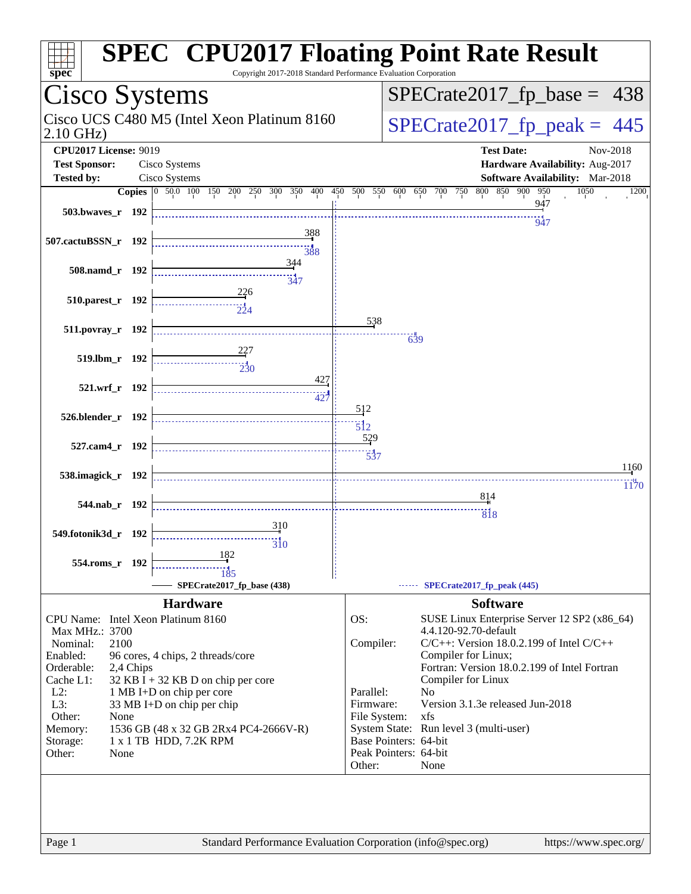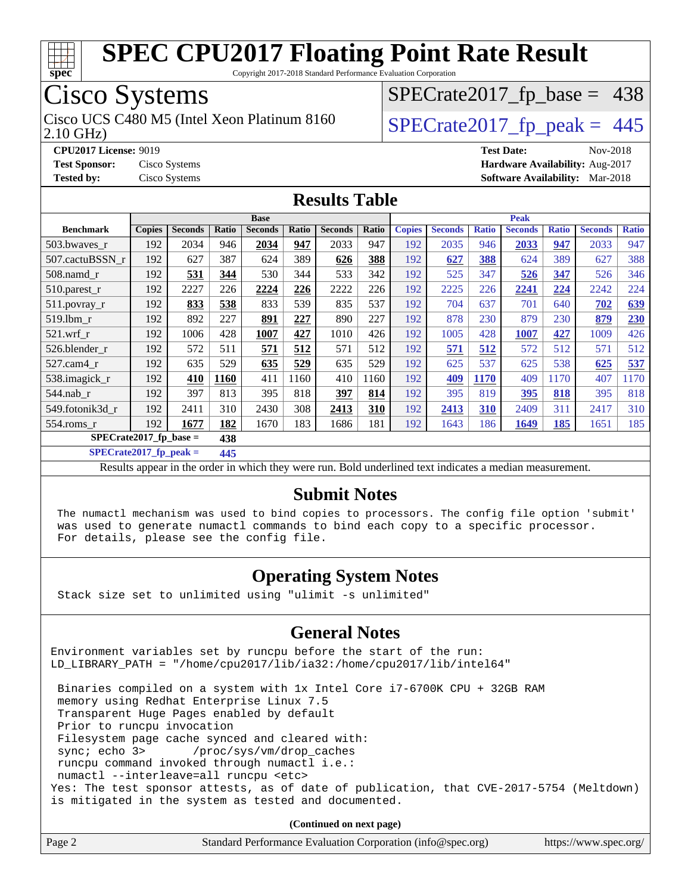

Copyright 2017-2018 Standard Performance Evaluation Corporation

### Cisco Systems

2.10 GHz) Cisco UCS C480 M5 (Intel Xeon Platinum 8160  $\big|$  [SPECrate2017\\_fp\\_peak =](http://www.spec.org/auto/cpu2017/Docs/result-fields.html#SPECrate2017fppeak) 445

 $SPECTate2017_fp\_base = 438$ 

**[Tested by:](http://www.spec.org/auto/cpu2017/Docs/result-fields.html#Testedby)** Cisco Systems **[Software Availability:](http://www.spec.org/auto/cpu2017/Docs/result-fields.html#SoftwareAvailability)** Mar-2018

**[CPU2017 License:](http://www.spec.org/auto/cpu2017/Docs/result-fields.html#CPU2017License)** 9019 **[Test Date:](http://www.spec.org/auto/cpu2017/Docs/result-fields.html#TestDate)** Nov-2018 **[Test Sponsor:](http://www.spec.org/auto/cpu2017/Docs/result-fields.html#TestSponsor)** Cisco Systems **[Hardware Availability:](http://www.spec.org/auto/cpu2017/Docs/result-fields.html#HardwareAvailability)** Aug-2017

#### **[Results Table](http://www.spec.org/auto/cpu2017/Docs/result-fields.html#ResultsTable)**

|                                 | <b>Base</b>   |                |       |                |              |                | <b>Peak</b>  |               |                |              |                |              |                |              |
|---------------------------------|---------------|----------------|-------|----------------|--------------|----------------|--------------|---------------|----------------|--------------|----------------|--------------|----------------|--------------|
| <b>Benchmark</b>                | <b>Copies</b> | <b>Seconds</b> | Ratio | <b>Seconds</b> | <b>Ratio</b> | <b>Seconds</b> | <b>Ratio</b> | <b>Copies</b> | <b>Seconds</b> | <b>Ratio</b> | <b>Seconds</b> | <b>Ratio</b> | <b>Seconds</b> | <b>Ratio</b> |
| 503.bwaves_r                    | 192           | 2034           | 946   | 2034           | 947          | 2033           | 947          | 192           | 2035           | 946          | 2033           | 947          | 2033           | 947          |
| 507.cactuBSSN r                 | 192           | 627            | 387   | 624            | 389          | 626            | 388          | 192           | 627            | 388          | 624            | 389          | 627            | 388          |
| 508.namd_r                      | 192           | 531            | 344   | 530            | 344          | 533            | 342          | 192           | 525            | 347          | 526            | 347          | 526            | 346          |
| 510.parest_r                    | 192           | 2227           | 226   | 2224           | 226          | 2222           | 226          | 192           | 2225           | 226          | 2241           | 224          | 2242           | 224          |
| 511.povray_r                    | 192           | 833            | 538   | 833            | 539          | 835            | 537          | 192           | 704            | 637          | 701            | 640          | 702            | 639          |
| 519.1bm r                       | 192           | 892            | 227   | 891            | 227          | 890            | 227          | 192           | 878            | 230          | 879            | 230          | 879            | 230          |
| $521$ .wrf r                    | 192           | 1006           | 428   | 1007           | 427          | 1010           | 426          | 192           | 1005           | 428          | 1007           | 427          | 1009           | 426          |
| 526.blender r                   | 192           | 572            | 511   | 571            | 512          | 571            | 512          | 192           | 571            | 512          | 572            | 512          | 571            | 512          |
| $527.cam4_r$                    | 192           | 635            | 529   | 635            | 529          | 635            | 529          | 192           | 625            | 537          | 625            | 538          | 625            | 537          |
| 538.imagick_r                   | 192           | 410            | 1160  | 411            | 1160         | 410            | 1160         | 192           | 409            | 1170         | 409            | 1170         | 407            | 1170         |
| 544.nab r                       | 192           | 397            | 813   | 395            | 818          | 397            | 814          | 192           | 395            | 819          | 395            | 818          | 395            | 818          |
| 549.fotonik3d r                 | 192           | 2411           | 310   | 2430           | 308          | 2413           | 310          | 192           | 2413           | 310          | 2409           | 311          | 2417           | 310          |
| 554.roms r                      | 192           | 1677           | 182   | 1670           | 183          | 1686           | 181          | 192           | 1643           | 186          | 1649           | 185          | 1651           | 185          |
| $SPECrate2017$ fp base =<br>438 |               |                |       |                |              |                |              |               |                |              |                |              |                |              |

**[SPECrate2017\\_fp\\_peak =](http://www.spec.org/auto/cpu2017/Docs/result-fields.html#SPECrate2017fppeak) 445**

Results appear in the [order in which they were run](http://www.spec.org/auto/cpu2017/Docs/result-fields.html#RunOrder). Bold underlined text [indicates a median measurement](http://www.spec.org/auto/cpu2017/Docs/result-fields.html#Median).

#### **[Submit Notes](http://www.spec.org/auto/cpu2017/Docs/result-fields.html#SubmitNotes)**

 The numactl mechanism was used to bind copies to processors. The config file option 'submit' was used to generate numactl commands to bind each copy to a specific processor. For details, please see the config file.

#### **[Operating System Notes](http://www.spec.org/auto/cpu2017/Docs/result-fields.html#OperatingSystemNotes)**

Stack size set to unlimited using "ulimit -s unlimited"

#### **[General Notes](http://www.spec.org/auto/cpu2017/Docs/result-fields.html#GeneralNotes)**

Environment variables set by runcpu before the start of the run: LD\_LIBRARY\_PATH = "/home/cpu2017/lib/ia32:/home/cpu2017/lib/intel64"

 Binaries compiled on a system with 1x Intel Core i7-6700K CPU + 32GB RAM memory using Redhat Enterprise Linux 7.5 Transparent Huge Pages enabled by default Prior to runcpu invocation Filesystem page cache synced and cleared with: sync; echo 3> /proc/sys/vm/drop\_caches runcpu command invoked through numactl i.e.: numactl --interleave=all runcpu <etc> Yes: The test sponsor attests, as of date of publication, that CVE-2017-5754 (Meltdown) is mitigated in the system as tested and documented.

**(Continued on next page)**

| Page 2<br>Standard Performance Evaluation Corporation (info@spec.org)<br>https://www.spec.org/ |
|------------------------------------------------------------------------------------------------|
|------------------------------------------------------------------------------------------------|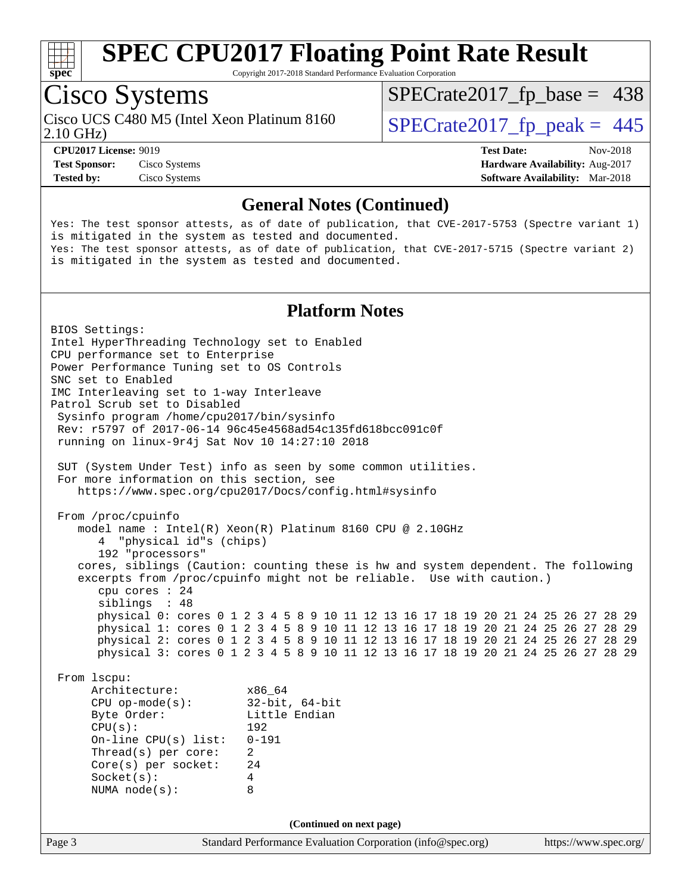

Copyright 2017-2018 Standard Performance Evaluation Corporation

### Cisco Systems

Cisco UCS C480 M5 (Intel Xeon Platinum 8160<br>2.10 GHz)

 $SPECTate2017_fp\_base = 438$ 

 $SPECTate 2017_fp\_peak = 445$ 

**[Tested by:](http://www.spec.org/auto/cpu2017/Docs/result-fields.html#Testedby)** Cisco Systems **[Software Availability:](http://www.spec.org/auto/cpu2017/Docs/result-fields.html#SoftwareAvailability)** Mar-2018

**[CPU2017 License:](http://www.spec.org/auto/cpu2017/Docs/result-fields.html#CPU2017License)** 9019 **[Test Date:](http://www.spec.org/auto/cpu2017/Docs/result-fields.html#TestDate)** Nov-2018 **[Test Sponsor:](http://www.spec.org/auto/cpu2017/Docs/result-fields.html#TestSponsor)** Cisco Systems **[Hardware Availability:](http://www.spec.org/auto/cpu2017/Docs/result-fields.html#HardwareAvailability)** Aug-2017

#### **[General Notes \(Continued\)](http://www.spec.org/auto/cpu2017/Docs/result-fields.html#GeneralNotes)**

Yes: The test sponsor attests, as of date of publication, that CVE-2017-5753 (Spectre variant 1) is mitigated in the system as tested and documented. Yes: The test sponsor attests, as of date of publication, that CVE-2017-5715 (Spectre variant 2) is mitigated in the system as tested and documented.

#### **[Platform Notes](http://www.spec.org/auto/cpu2017/Docs/result-fields.html#PlatformNotes)**

Page 3 Standard Performance Evaluation Corporation [\(info@spec.org\)](mailto:info@spec.org) <https://www.spec.org/> BIOS Settings: Intel HyperThreading Technology set to Enabled CPU performance set to Enterprise Power Performance Tuning set to OS Controls SNC set to Enabled IMC Interleaving set to 1-way Interleave Patrol Scrub set to Disabled Sysinfo program /home/cpu2017/bin/sysinfo Rev: r5797 of 2017-06-14 96c45e4568ad54c135fd618bcc091c0f running on linux-9r4j Sat Nov 10 14:27:10 2018 SUT (System Under Test) info as seen by some common utilities. For more information on this section, see <https://www.spec.org/cpu2017/Docs/config.html#sysinfo> From /proc/cpuinfo model name : Intel(R) Xeon(R) Platinum 8160 CPU @ 2.10GHz 4 "physical id"s (chips) 192 "processors" cores, siblings (Caution: counting these is hw and system dependent. The following excerpts from /proc/cpuinfo might not be reliable. Use with caution.) cpu cores : 24 siblings : 48 physical 0: cores 0 1 2 3 4 5 8 9 10 11 12 13 16 17 18 19 20 21 24 25 26 27 28 29 physical 1: cores 0 1 2 3 4 5 8 9 10 11 12 13 16 17 18 19 20 21 24 25 26 27 28 29 physical 2: cores 0 1 2 3 4 5 8 9 10 11 12 13 16 17 18 19 20 21 24 25 26 27 28 29 physical 3: cores 0 1 2 3 4 5 8 9 10 11 12 13 16 17 18 19 20 21 24 25 26 27 28 29 From lscpu: Architecture: x86\_64 CPU op-mode(s): 32-bit, 64-bit Byte Order: Little Endian CPU(s): 192 On-line CPU(s) list: 0-191 Thread(s) per core: 2 Core(s) per socket: 24 Socket(s): 4 NUMA node(s): 8 **(Continued on next page)**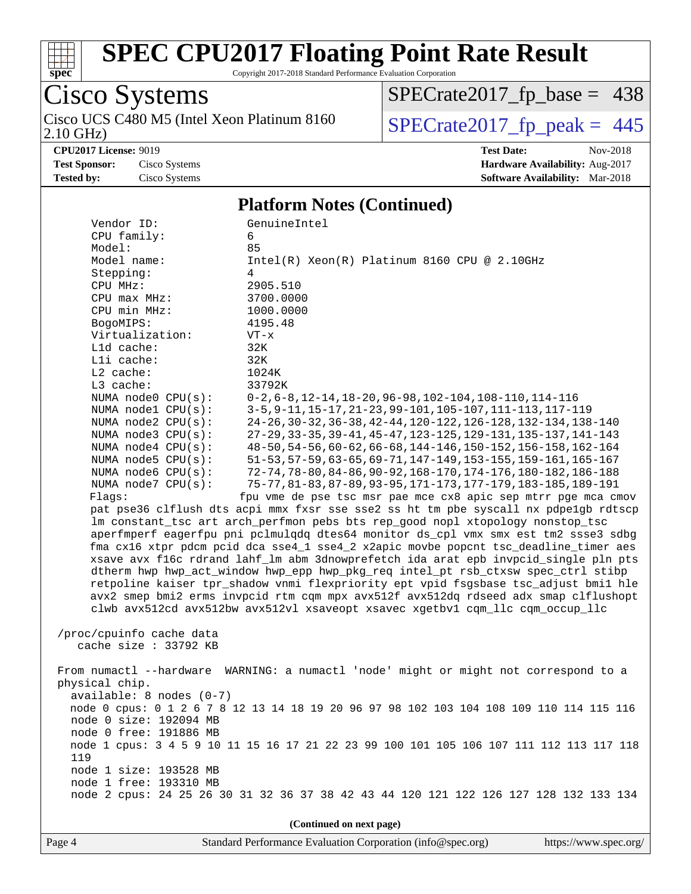

Copyright 2017-2018 Standard Performance Evaluation Corporation

### Cisco Systems 2.10 GHz) Cisco UCS C480 M5 (Intel Xeon Platinum 8160  $SPECrate2017_fp\_peak = 445$

[SPECrate2017\\_fp\\_base =](http://www.spec.org/auto/cpu2017/Docs/result-fields.html#SPECrate2017fpbase) 438

**[CPU2017 License:](http://www.spec.org/auto/cpu2017/Docs/result-fields.html#CPU2017License)** 9019 **[Test Date:](http://www.spec.org/auto/cpu2017/Docs/result-fields.html#TestDate)** Nov-2018 **[Test Sponsor:](http://www.spec.org/auto/cpu2017/Docs/result-fields.html#TestSponsor)** Cisco Systems **[Hardware Availability:](http://www.spec.org/auto/cpu2017/Docs/result-fields.html#HardwareAvailability)** Aug-2017 **[Tested by:](http://www.spec.org/auto/cpu2017/Docs/result-fields.html#Testedby)** Cisco Systems **[Software Availability:](http://www.spec.org/auto/cpu2017/Docs/result-fields.html#SoftwareAvailability)** Mar-2018

#### **[Platform Notes \(Continued\)](http://www.spec.org/auto/cpu2017/Docs/result-fields.html#PlatformNotes)**

| Vendor ID:                                                                              | GenuineIntel                                                                            |  |  |  |  |  |
|-----------------------------------------------------------------------------------------|-----------------------------------------------------------------------------------------|--|--|--|--|--|
| CPU family:                                                                             | 6                                                                                       |  |  |  |  |  |
| Model:                                                                                  | 85                                                                                      |  |  |  |  |  |
| Model name:                                                                             | $Intel(R) Xeon(R) Platinum 8160 CPU @ 2.10GHz$                                          |  |  |  |  |  |
| Stepping:                                                                               | 4                                                                                       |  |  |  |  |  |
| CPU MHz:                                                                                | 2905.510                                                                                |  |  |  |  |  |
| $CPU$ max $MHz$ :                                                                       | 3700.0000                                                                               |  |  |  |  |  |
| CPU min MHz:                                                                            | 1000.0000                                                                               |  |  |  |  |  |
| BogoMIPS:                                                                               | 4195.48                                                                                 |  |  |  |  |  |
| Virtualization:                                                                         | $VT - x$                                                                                |  |  |  |  |  |
| L1d cache:                                                                              | 32K                                                                                     |  |  |  |  |  |
| Lli cache:                                                                              | 32K                                                                                     |  |  |  |  |  |
| L2 cache:                                                                               | 1024K                                                                                   |  |  |  |  |  |
| $L3$ cache:                                                                             | 33792K                                                                                  |  |  |  |  |  |
| NUMA node0 CPU(s):                                                                      | $0-2, 6-8, 12-14, 18-20, 96-98, 102-104, 108-110, 114-116$                              |  |  |  |  |  |
| NUMA nodel CPU(s):                                                                      | 3-5, 9-11, 15-17, 21-23, 99-101, 105-107, 111-113, 117-119                              |  |  |  |  |  |
| NUMA node2 CPU(s):                                                                      | 24-26, 30-32, 36-38, 42-44, 120-122, 126-128, 132-134, 138-140                          |  |  |  |  |  |
| NUMA node3 CPU(s):                                                                      | 27-29, 33-35, 39-41, 45-47, 123-125, 129-131, 135-137, 141-143                          |  |  |  |  |  |
| NUMA node4 CPU(s):                                                                      | 48-50, 54-56, 60-62, 66-68, 144-146, 150-152, 156-158, 162-164                          |  |  |  |  |  |
| NUMA node5 CPU(s):                                                                      | 51-53, 57-59, 63-65, 69-71, 147-149, 153-155, 159-161, 165-167                          |  |  |  |  |  |
| NUMA node6 CPU(s):                                                                      | 72-74, 78-80, 84-86, 90-92, 168-170, 174-176, 180-182, 186-188                          |  |  |  |  |  |
| NUMA node7 CPU(s):                                                                      | 75-77, 81-83, 87-89, 93-95, 171-173, 177-179, 183-185, 189-191                          |  |  |  |  |  |
| Flags:                                                                                  | fpu vme de pse tsc msr pae mce cx8 apic sep mtrr pge mca cmov                           |  |  |  |  |  |
|                                                                                         | pat pse36 clflush dts acpi mmx fxsr sse sse2 ss ht tm pbe syscall nx pdpelgb rdtscp     |  |  |  |  |  |
|                                                                                         | lm constant_tsc art arch_perfmon pebs bts rep_good nopl xtopology nonstop_tsc           |  |  |  |  |  |
| aperfmperf eagerfpu pni pclmulqdq dtes64 monitor ds_cpl vmx smx est tm2 ssse3 sdbg      |                                                                                         |  |  |  |  |  |
| fma cx16 xtpr pdcm pcid dca sse4_1 sse4_2 x2apic movbe popcnt tsc_deadline_timer aes    |                                                                                         |  |  |  |  |  |
| xsave avx f16c rdrand lahf_lm abm 3dnowprefetch ida arat epb invpcid_single pln pts     |                                                                                         |  |  |  |  |  |
|                                                                                         | dtherm hwp hwp_act_window hwp_epp hwp_pkg_req intel_pt rsb_ctxsw spec_ctrl stibp        |  |  |  |  |  |
|                                                                                         | retpoline kaiser tpr_shadow vnmi flexpriority ept vpid fsgsbase tsc_adjust bmil hle     |  |  |  |  |  |
|                                                                                         | avx2 smep bmi2 erms invpcid rtm cqm mpx avx512f avx512dq rdseed adx smap clflushopt     |  |  |  |  |  |
|                                                                                         | clwb avx512cd avx512bw avx512vl xsaveopt xsavec xgetbvl cqm_llc cqm_occup_llc           |  |  |  |  |  |
|                                                                                         |                                                                                         |  |  |  |  |  |
| /proc/cpuinfo cache data                                                                |                                                                                         |  |  |  |  |  |
| cache size $: 33792$ KB                                                                 |                                                                                         |  |  |  |  |  |
|                                                                                         |                                                                                         |  |  |  |  |  |
|                                                                                         | From numactl --hardware WARNING: a numactl 'node' might or might not correspond to a    |  |  |  |  |  |
| physical chip.                                                                          |                                                                                         |  |  |  |  |  |
| $available: 8 nodes (0-7)$                                                              |                                                                                         |  |  |  |  |  |
| node 0 cpus: 0 1 2 6 7 8 12 13 14 18 19 20 96 97 98 102 103 104 108 109 110 114 115 116 |                                                                                         |  |  |  |  |  |
| node 0 size: 192094 MB                                                                  |                                                                                         |  |  |  |  |  |
| node 0 free: 191886 MB                                                                  |                                                                                         |  |  |  |  |  |
|                                                                                         | node 1 cpus: 3 4 5 9 10 11 15 16 17 21 22 23 99 100 101 105 106 107 111 112 113 117 118 |  |  |  |  |  |
| 119                                                                                     |                                                                                         |  |  |  |  |  |
| node 1 size: 193528 MB                                                                  |                                                                                         |  |  |  |  |  |
| node 1 free: 193310 MB                                                                  |                                                                                         |  |  |  |  |  |
|                                                                                         | node 2 cpus: 24 25 26 30 31 32 36 37 38 42 43 44 120 121 122 126 127 128 132 133 134    |  |  |  |  |  |
|                                                                                         |                                                                                         |  |  |  |  |  |
|                                                                                         | (Continued on next page)                                                                |  |  |  |  |  |
|                                                                                         |                                                                                         |  |  |  |  |  |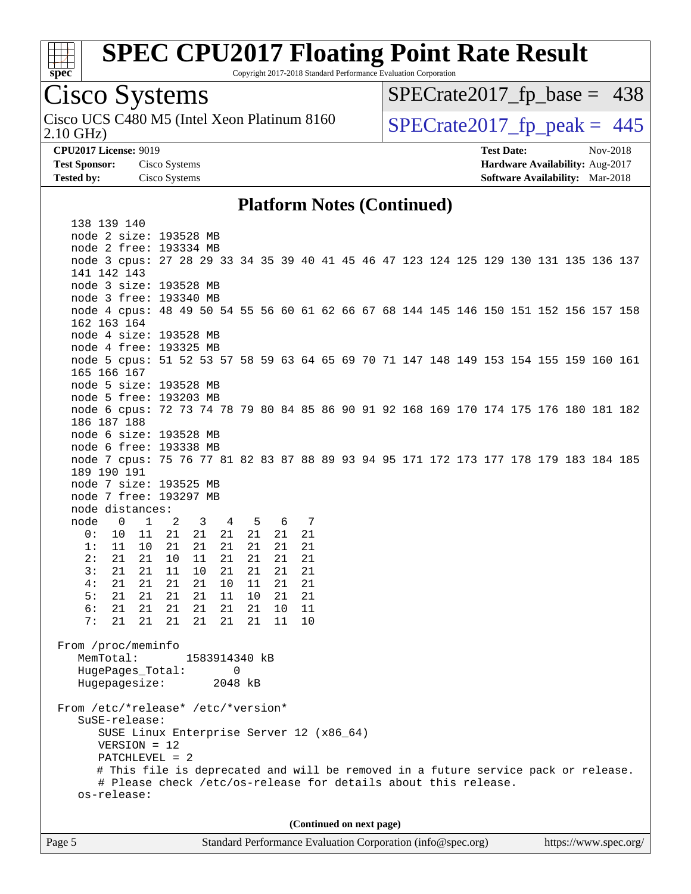

Copyright 2017-2018 Standard Performance Evaluation Corporation

### Cisco Systems

2.10 GHz) Cisco UCS C480 M5 (Intel Xeon Platinum 8160  $\vert$  [SPECrate2017\\_fp\\_peak =](http://www.spec.org/auto/cpu2017/Docs/result-fields.html#SPECrate2017fppeak) 445

 $SPECTate2017_fp\_base = 438$ 

**[CPU2017 License:](http://www.spec.org/auto/cpu2017/Docs/result-fields.html#CPU2017License)** 9019 **[Test Date:](http://www.spec.org/auto/cpu2017/Docs/result-fields.html#TestDate)** Nov-2018 **[Test Sponsor:](http://www.spec.org/auto/cpu2017/Docs/result-fields.html#TestSponsor)** Cisco Systems **[Hardware Availability:](http://www.spec.org/auto/cpu2017/Docs/result-fields.html#HardwareAvailability)** Aug-2017 **[Tested by:](http://www.spec.org/auto/cpu2017/Docs/result-fields.html#Testedby)** Cisco Systems **[Software Availability:](http://www.spec.org/auto/cpu2017/Docs/result-fields.html#SoftwareAvailability)** Mar-2018

#### **[Platform Notes \(Continued\)](http://www.spec.org/auto/cpu2017/Docs/result-fields.html#PlatformNotes)**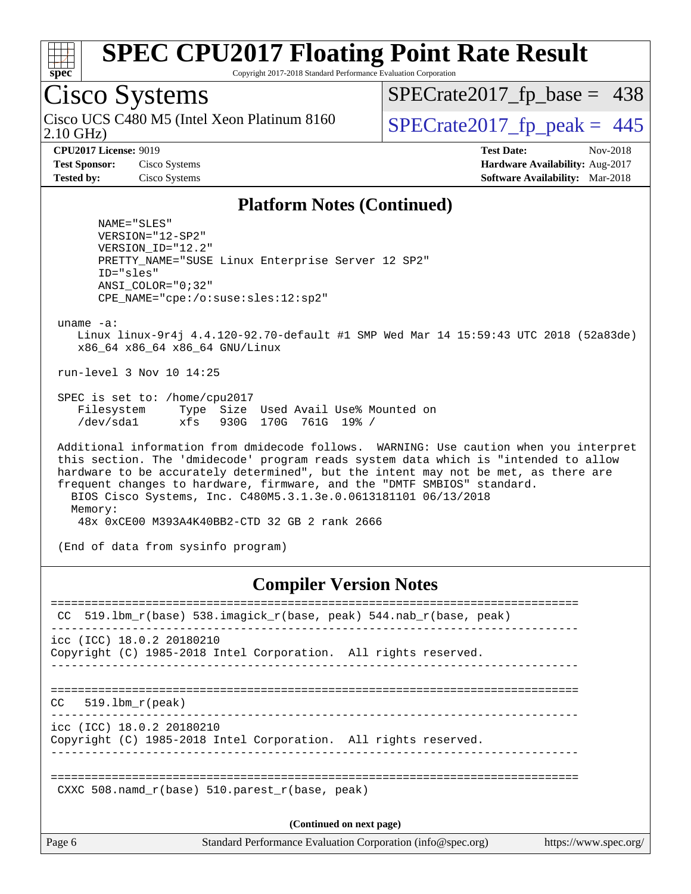

Copyright 2017-2018 Standard Performance Evaluation Corporation

### Cisco Systems

2.10 GHz) Cisco UCS C480 M5 (Intel Xeon Platinum 8160  $\big|$  [SPECrate2017\\_fp\\_peak =](http://www.spec.org/auto/cpu2017/Docs/result-fields.html#SPECrate2017fppeak) 445

 $SPECTate2017_fp\_base = 438$ 

**[CPU2017 License:](http://www.spec.org/auto/cpu2017/Docs/result-fields.html#CPU2017License)** 9019 **[Test Date:](http://www.spec.org/auto/cpu2017/Docs/result-fields.html#TestDate)** Nov-2018 **[Test Sponsor:](http://www.spec.org/auto/cpu2017/Docs/result-fields.html#TestSponsor)** Cisco Systems **[Hardware Availability:](http://www.spec.org/auto/cpu2017/Docs/result-fields.html#HardwareAvailability)** Aug-2017 **[Tested by:](http://www.spec.org/auto/cpu2017/Docs/result-fields.html#Testedby)** Cisco Systems **[Software Availability:](http://www.spec.org/auto/cpu2017/Docs/result-fields.html#SoftwareAvailability)** Mar-2018

#### **[Platform Notes \(Continued\)](http://www.spec.org/auto/cpu2017/Docs/result-fields.html#PlatformNotes)**

 NAME="SLES" VERSION="12-SP2" VERSION\_ID="12.2" PRETTY\_NAME="SUSE Linux Enterprise Server 12 SP2" ID="sles" ANSI\_COLOR="0;32" CPE\_NAME="cpe:/o:suse:sles:12:sp2"

uname -a:

 Linux linux-9r4j 4.4.120-92.70-default #1 SMP Wed Mar 14 15:59:43 UTC 2018 (52a83de) x86\_64 x86\_64 x86\_64 GNU/Linux

run-level 3 Nov 10 14:25

 SPEC is set to: /home/cpu2017 Filesystem Type Size Used Avail Use% Mounted on /dev/sda1 xfs 930G 170G 761G 19% /

 Additional information from dmidecode follows. WARNING: Use caution when you interpret this section. The 'dmidecode' program reads system data which is "intended to allow hardware to be accurately determined", but the intent may not be met, as there are frequent changes to hardware, firmware, and the "DMTF SMBIOS" standard. BIOS Cisco Systems, Inc. C480M5.3.1.3e.0.0613181101 06/13/2018 Memory: 48x 0xCE00 M393A4K40BB2-CTD 32 GB 2 rank 2666

(End of data from sysinfo program)

#### **[Compiler Version Notes](http://www.spec.org/auto/cpu2017/Docs/result-fields.html#CompilerVersionNotes)**

| CC.                                | 519.1bm r(base) 538.imagick r(base, peak) 544.nab r(base, peak)                      |
|------------------------------------|--------------------------------------------------------------------------------------|
| $\text{icc}$ (ICC) 18.0.2 20180210 | Copyright (C) 1985-2018 Intel Corporation. All rights reserved.                      |
| 519.1bm r(peak)<br>CC.             |                                                                                      |
| icc (ICC) 18.0.2 20180210          | Copyright (C) 1985-2018 Intel Corporation. All rights reserved.                      |
|                                    | CXXC 508. namd $r(base)$ 510. parest $r(base, peak)$                                 |
|                                    | (Continued on next page)                                                             |
| Page 6                             | Standard Performance Evaluation Corporation (info@spec.org)<br>https://www.spec.org/ |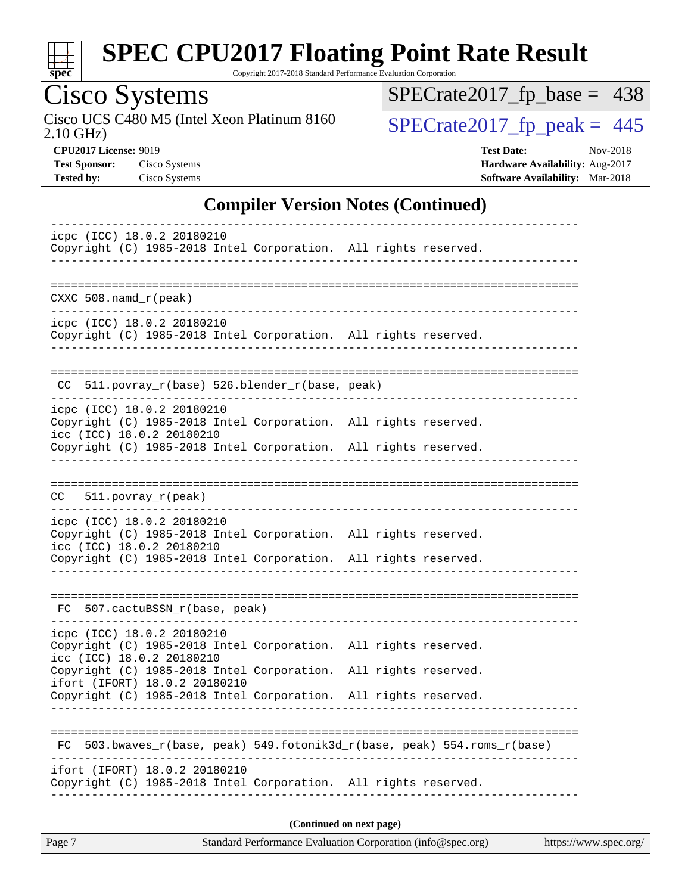

Copyright 2017-2018 Standard Performance Evaluation Corporation

### Cisco Systems

2.10 GHz) Cisco UCS C480 M5 (Intel Xeon Platinum 8160  $SPECrate2017_fp\_peak = 445$ 

[SPECrate2017\\_fp\\_base =](http://www.spec.org/auto/cpu2017/Docs/result-fields.html#SPECrate2017fpbase) 438

**[CPU2017 License:](http://www.spec.org/auto/cpu2017/Docs/result-fields.html#CPU2017License)** 9019 **[Test Date:](http://www.spec.org/auto/cpu2017/Docs/result-fields.html#TestDate)** Nov-2018 **[Test Sponsor:](http://www.spec.org/auto/cpu2017/Docs/result-fields.html#TestSponsor)** Cisco Systems **Cisco Systems [Hardware Availability:](http://www.spec.org/auto/cpu2017/Docs/result-fields.html#HardwareAvailability)** Aug-2017 **[Tested by:](http://www.spec.org/auto/cpu2017/Docs/result-fields.html#Testedby)** Cisco Systems **[Software Availability:](http://www.spec.org/auto/cpu2017/Docs/result-fields.html#SoftwareAvailability)** Mar-2018

#### **[Compiler Version Notes \(Continued\)](http://www.spec.org/auto/cpu2017/Docs/result-fields.html#CompilerVersionNotes)**

| icpc (ICC) 18.0.2 20180210<br>Copyright (C) 1985-2018 Intel Corporation. All rights reserved.                                                                                                                                                                                                     |               |  |  |  |  |
|---------------------------------------------------------------------------------------------------------------------------------------------------------------------------------------------------------------------------------------------------------------------------------------------------|---------------|--|--|--|--|
| $CXXC 508.namd_r (peak)$                                                                                                                                                                                                                                                                          |               |  |  |  |  |
| icpc (ICC) 18.0.2 20180210<br>Copyright (C) 1985-2018 Intel Corporation. All rights reserved.                                                                                                                                                                                                     |               |  |  |  |  |
| $CC$ 511.povray $r(base)$ 526.blender $r(base, peak)$<br>----------------------------                                                                                                                                                                                                             |               |  |  |  |  |
| icpc (ICC) 18.0.2 20180210<br>Copyright (C) 1985-2018 Intel Corporation. All rights reserved.<br>icc (ICC) 18.0.2 20180210<br>Copyright (C) 1985-2018 Intel Corporation. All rights reserved.                                                                                                     |               |  |  |  |  |
| $511. povray_r (peak)$<br>CC                                                                                                                                                                                                                                                                      |               |  |  |  |  |
| icpc (ICC) 18.0.2 20180210<br>Copyright (C) 1985-2018 Intel Corporation. All rights reserved.<br>icc (ICC) 18.0.2 20180210<br>Copyright (C) 1985-2018 Intel Corporation. All rights reserved.                                                                                                     |               |  |  |  |  |
| FC 507.cactuBSSN_r(base, peak)                                                                                                                                                                                                                                                                    |               |  |  |  |  |
| icpc (ICC) 18.0.2 20180210<br>Copyright (C) 1985-2018 Intel Corporation. All rights reserved.<br>icc (ICC) 18.0.2 20180210<br>Copyright (C) 1985-2018 Intel Corporation. All rights reserved.<br>ifort (IFORT) 18.0.2 20180210<br>Copyright (C) 1985-2018 Intel Corporation. All rights reserved. | ------------- |  |  |  |  |
| 503.bwaves_r(base, peak) 549.fotonik3d_r(base, peak) 554.roms_r(base)<br>FC                                                                                                                                                                                                                       |               |  |  |  |  |
| ifort (IFORT) 18.0.2 20180210<br>Copyright (C) 1985-2018 Intel Corporation. All rights reserved.                                                                                                                                                                                                  |               |  |  |  |  |
| (Continued on next page)                                                                                                                                                                                                                                                                          |               |  |  |  |  |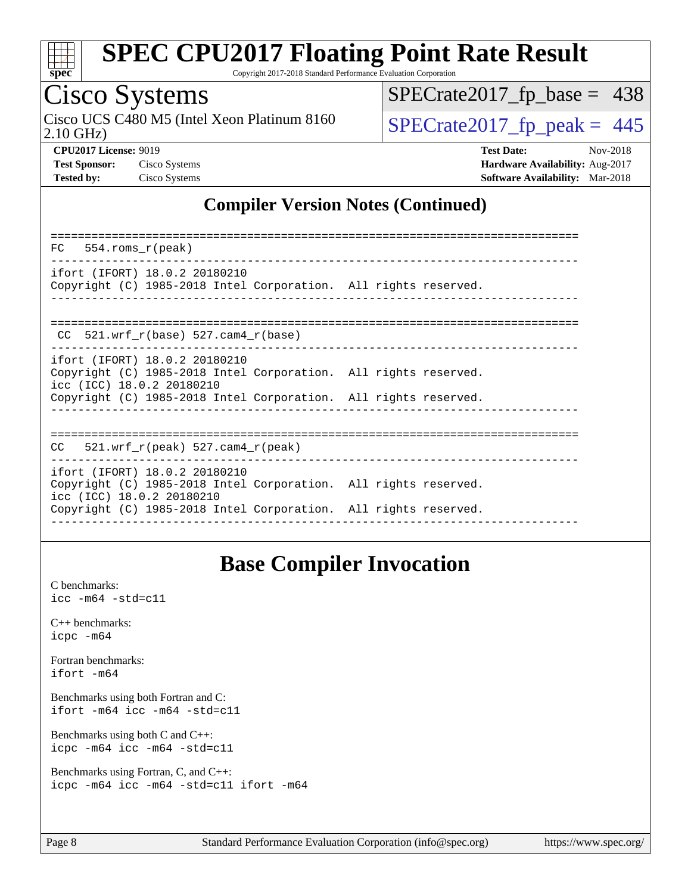

Copyright 2017-2018 Standard Performance Evaluation Corporation

### Cisco Systems

Cisco UCS C480 M5 (Intel Xeon Platinum 8160  $\big|$  [SPECrate2017\\_fp\\_peak =](http://www.spec.org/auto/cpu2017/Docs/result-fields.html#SPECrate2017fppeak) 445

[SPECrate2017\\_fp\\_base =](http://www.spec.org/auto/cpu2017/Docs/result-fields.html#SPECrate2017fpbase) 438

2.10 GHz)

**[CPU2017 License:](http://www.spec.org/auto/cpu2017/Docs/result-fields.html#CPU2017License)** 9019 **[Test Date:](http://www.spec.org/auto/cpu2017/Docs/result-fields.html#TestDate)** Nov-2018

**[Test Sponsor:](http://www.spec.org/auto/cpu2017/Docs/result-fields.html#TestSponsor)** Cisco Systems **[Hardware Availability:](http://www.spec.org/auto/cpu2017/Docs/result-fields.html#HardwareAvailability)** Aug-2017 **[Tested by:](http://www.spec.org/auto/cpu2017/Docs/result-fields.html#Testedby)** Cisco Systems **[Software Availability:](http://www.spec.org/auto/cpu2017/Docs/result-fields.html#SoftwareAvailability)** Mar-2018

### **[Compiler Version Notes \(Continued\)](http://www.spec.org/auto/cpu2017/Docs/result-fields.html#CompilerVersionNotes)**

| 554.roms r(peak)<br>FC                                                                                                                                                                           |  |
|--------------------------------------------------------------------------------------------------------------------------------------------------------------------------------------------------|--|
| ifort (IFORT) 18.0.2 20180210<br>Copyright (C) 1985-2018 Intel Corporation. All rights reserved.                                                                                                 |  |
| 521.wrf $r(base)$ 527.cam4 $r(base)$<br>CC.                                                                                                                                                      |  |
| ifort (IFORT) 18.0.2 20180210<br>Copyright (C) 1985-2018 Intel Corporation. All rights reserved.<br>icc (ICC) 18.0.2 20180210<br>Copyright (C) 1985-2018 Intel Corporation. All rights reserved. |  |
| 521.wrf $r(\text{peak})$ 527.cam4 $r(\text{peak})$<br>CC.                                                                                                                                        |  |
| ifort (IFORT) 18.0.2 20180210<br>Copyright (C) 1985-2018 Intel Corporation. All rights reserved.<br>icc (ICC) 18.0.2 20180210<br>Copyright (C) 1985-2018 Intel Corporation. All rights reserved. |  |
|                                                                                                                                                                                                  |  |

### **[Base Compiler Invocation](http://www.spec.org/auto/cpu2017/Docs/result-fields.html#BaseCompilerInvocation)**

[C benchmarks](http://www.spec.org/auto/cpu2017/Docs/result-fields.html#Cbenchmarks): [icc -m64 -std=c11](http://www.spec.org/cpu2017/results/res2018q4/cpu2017-20181113-09724.flags.html#user_CCbase_intel_icc_64bit_c11_33ee0cdaae7deeeab2a9725423ba97205ce30f63b9926c2519791662299b76a0318f32ddfffdc46587804de3178b4f9328c46fa7c2b0cd779d7a61945c91cd35)

[C++ benchmarks:](http://www.spec.org/auto/cpu2017/Docs/result-fields.html#CXXbenchmarks) [icpc -m64](http://www.spec.org/cpu2017/results/res2018q4/cpu2017-20181113-09724.flags.html#user_CXXbase_intel_icpc_64bit_4ecb2543ae3f1412ef961e0650ca070fec7b7afdcd6ed48761b84423119d1bf6bdf5cad15b44d48e7256388bc77273b966e5eb805aefd121eb22e9299b2ec9d9)

[Fortran benchmarks](http://www.spec.org/auto/cpu2017/Docs/result-fields.html#Fortranbenchmarks): [ifort -m64](http://www.spec.org/cpu2017/results/res2018q4/cpu2017-20181113-09724.flags.html#user_FCbase_intel_ifort_64bit_24f2bb282fbaeffd6157abe4f878425411749daecae9a33200eee2bee2fe76f3b89351d69a8130dd5949958ce389cf37ff59a95e7a40d588e8d3a57e0c3fd751)

[Benchmarks using both Fortran and C](http://www.spec.org/auto/cpu2017/Docs/result-fields.html#BenchmarksusingbothFortranandC): [ifort -m64](http://www.spec.org/cpu2017/results/res2018q4/cpu2017-20181113-09724.flags.html#user_CC_FCbase_intel_ifort_64bit_24f2bb282fbaeffd6157abe4f878425411749daecae9a33200eee2bee2fe76f3b89351d69a8130dd5949958ce389cf37ff59a95e7a40d588e8d3a57e0c3fd751) [icc -m64 -std=c11](http://www.spec.org/cpu2017/results/res2018q4/cpu2017-20181113-09724.flags.html#user_CC_FCbase_intel_icc_64bit_c11_33ee0cdaae7deeeab2a9725423ba97205ce30f63b9926c2519791662299b76a0318f32ddfffdc46587804de3178b4f9328c46fa7c2b0cd779d7a61945c91cd35)

[Benchmarks using both C and C++](http://www.spec.org/auto/cpu2017/Docs/result-fields.html#BenchmarksusingbothCandCXX): [icpc -m64](http://www.spec.org/cpu2017/results/res2018q4/cpu2017-20181113-09724.flags.html#user_CC_CXXbase_intel_icpc_64bit_4ecb2543ae3f1412ef961e0650ca070fec7b7afdcd6ed48761b84423119d1bf6bdf5cad15b44d48e7256388bc77273b966e5eb805aefd121eb22e9299b2ec9d9) [icc -m64 -std=c11](http://www.spec.org/cpu2017/results/res2018q4/cpu2017-20181113-09724.flags.html#user_CC_CXXbase_intel_icc_64bit_c11_33ee0cdaae7deeeab2a9725423ba97205ce30f63b9926c2519791662299b76a0318f32ddfffdc46587804de3178b4f9328c46fa7c2b0cd779d7a61945c91cd35)

[Benchmarks using Fortran, C, and C++:](http://www.spec.org/auto/cpu2017/Docs/result-fields.html#BenchmarksusingFortranCandCXX) [icpc -m64](http://www.spec.org/cpu2017/results/res2018q4/cpu2017-20181113-09724.flags.html#user_CC_CXX_FCbase_intel_icpc_64bit_4ecb2543ae3f1412ef961e0650ca070fec7b7afdcd6ed48761b84423119d1bf6bdf5cad15b44d48e7256388bc77273b966e5eb805aefd121eb22e9299b2ec9d9) [icc -m64 -std=c11](http://www.spec.org/cpu2017/results/res2018q4/cpu2017-20181113-09724.flags.html#user_CC_CXX_FCbase_intel_icc_64bit_c11_33ee0cdaae7deeeab2a9725423ba97205ce30f63b9926c2519791662299b76a0318f32ddfffdc46587804de3178b4f9328c46fa7c2b0cd779d7a61945c91cd35) [ifort -m64](http://www.spec.org/cpu2017/results/res2018q4/cpu2017-20181113-09724.flags.html#user_CC_CXX_FCbase_intel_ifort_64bit_24f2bb282fbaeffd6157abe4f878425411749daecae9a33200eee2bee2fe76f3b89351d69a8130dd5949958ce389cf37ff59a95e7a40d588e8d3a57e0c3fd751)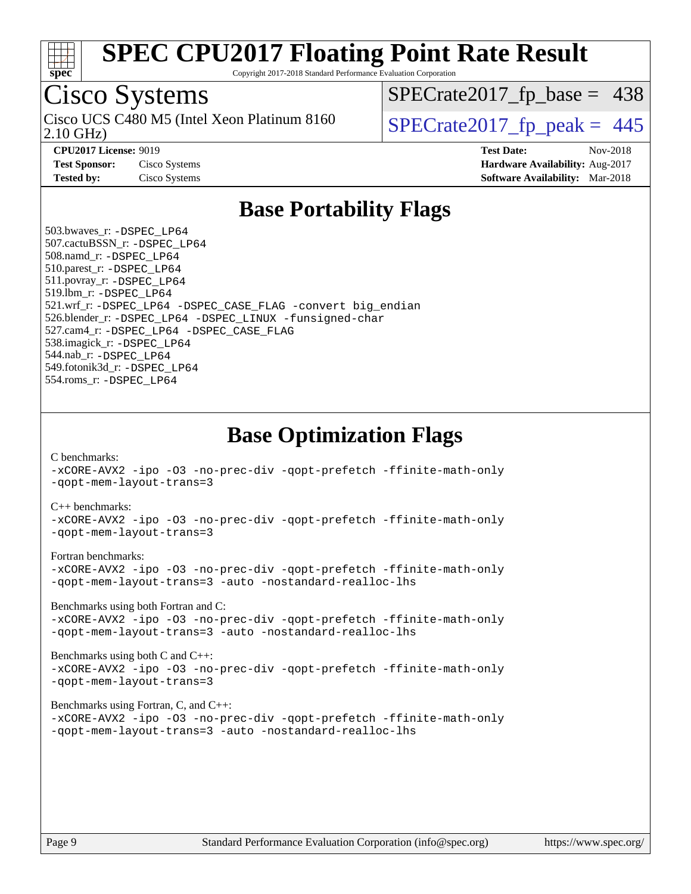

Copyright 2017-2018 Standard Performance Evaluation Corporation

### Cisco Systems

2.10 GHz) Cisco UCS C480 M5 (Intel Xeon Platinum 8160  $\big|$  [SPECrate2017\\_fp\\_peak =](http://www.spec.org/auto/cpu2017/Docs/result-fields.html#SPECrate2017fppeak) 445

 $SPECTate2017_fp\_base = 438$ 

**[CPU2017 License:](http://www.spec.org/auto/cpu2017/Docs/result-fields.html#CPU2017License)** 9019 **[Test Date:](http://www.spec.org/auto/cpu2017/Docs/result-fields.html#TestDate)** Nov-2018 **[Test Sponsor:](http://www.spec.org/auto/cpu2017/Docs/result-fields.html#TestSponsor)** Cisco Systems **Cisco Systems [Hardware Availability:](http://www.spec.org/auto/cpu2017/Docs/result-fields.html#HardwareAvailability)** Aug-2017 **[Tested by:](http://www.spec.org/auto/cpu2017/Docs/result-fields.html#Testedby)** Cisco Systems **[Software Availability:](http://www.spec.org/auto/cpu2017/Docs/result-fields.html#SoftwareAvailability)** Mar-2018

### **[Base Portability Flags](http://www.spec.org/auto/cpu2017/Docs/result-fields.html#BasePortabilityFlags)**

 503.bwaves\_r: [-DSPEC\\_LP64](http://www.spec.org/cpu2017/results/res2018q4/cpu2017-20181113-09724.flags.html#suite_basePORTABILITY503_bwaves_r_DSPEC_LP64) 507.cactuBSSN\_r: [-DSPEC\\_LP64](http://www.spec.org/cpu2017/results/res2018q4/cpu2017-20181113-09724.flags.html#suite_basePORTABILITY507_cactuBSSN_r_DSPEC_LP64) 508.namd\_r: [-DSPEC\\_LP64](http://www.spec.org/cpu2017/results/res2018q4/cpu2017-20181113-09724.flags.html#suite_basePORTABILITY508_namd_r_DSPEC_LP64) 510.parest\_r: [-DSPEC\\_LP64](http://www.spec.org/cpu2017/results/res2018q4/cpu2017-20181113-09724.flags.html#suite_basePORTABILITY510_parest_r_DSPEC_LP64) 511.povray\_r: [-DSPEC\\_LP64](http://www.spec.org/cpu2017/results/res2018q4/cpu2017-20181113-09724.flags.html#suite_basePORTABILITY511_povray_r_DSPEC_LP64) 519.lbm\_r: [-DSPEC\\_LP64](http://www.spec.org/cpu2017/results/res2018q4/cpu2017-20181113-09724.flags.html#suite_basePORTABILITY519_lbm_r_DSPEC_LP64) 521.wrf\_r: [-DSPEC\\_LP64](http://www.spec.org/cpu2017/results/res2018q4/cpu2017-20181113-09724.flags.html#suite_basePORTABILITY521_wrf_r_DSPEC_LP64) [-DSPEC\\_CASE\\_FLAG](http://www.spec.org/cpu2017/results/res2018q4/cpu2017-20181113-09724.flags.html#b521.wrf_r_baseCPORTABILITY_DSPEC_CASE_FLAG) [-convert big\\_endian](http://www.spec.org/cpu2017/results/res2018q4/cpu2017-20181113-09724.flags.html#user_baseFPORTABILITY521_wrf_r_convert_big_endian_c3194028bc08c63ac5d04de18c48ce6d347e4e562e8892b8bdbdc0214820426deb8554edfa529a3fb25a586e65a3d812c835984020483e7e73212c4d31a38223) 526.blender\_r: [-DSPEC\\_LP64](http://www.spec.org/cpu2017/results/res2018q4/cpu2017-20181113-09724.flags.html#suite_basePORTABILITY526_blender_r_DSPEC_LP64) [-DSPEC\\_LINUX](http://www.spec.org/cpu2017/results/res2018q4/cpu2017-20181113-09724.flags.html#b526.blender_r_baseCPORTABILITY_DSPEC_LINUX) [-funsigned-char](http://www.spec.org/cpu2017/results/res2018q4/cpu2017-20181113-09724.flags.html#user_baseCPORTABILITY526_blender_r_force_uchar_40c60f00ab013830e2dd6774aeded3ff59883ba5a1fc5fc14077f794d777847726e2a5858cbc7672e36e1b067e7e5c1d9a74f7176df07886a243d7cc18edfe67) 527.cam4\_r: [-DSPEC\\_LP64](http://www.spec.org/cpu2017/results/res2018q4/cpu2017-20181113-09724.flags.html#suite_basePORTABILITY527_cam4_r_DSPEC_LP64) [-DSPEC\\_CASE\\_FLAG](http://www.spec.org/cpu2017/results/res2018q4/cpu2017-20181113-09724.flags.html#b527.cam4_r_baseCPORTABILITY_DSPEC_CASE_FLAG) 538.imagick\_r: [-DSPEC\\_LP64](http://www.spec.org/cpu2017/results/res2018q4/cpu2017-20181113-09724.flags.html#suite_basePORTABILITY538_imagick_r_DSPEC_LP64) 544.nab\_r: [-DSPEC\\_LP64](http://www.spec.org/cpu2017/results/res2018q4/cpu2017-20181113-09724.flags.html#suite_basePORTABILITY544_nab_r_DSPEC_LP64) 549.fotonik3d\_r: [-DSPEC\\_LP64](http://www.spec.org/cpu2017/results/res2018q4/cpu2017-20181113-09724.flags.html#suite_basePORTABILITY549_fotonik3d_r_DSPEC_LP64) 554.roms\_r: [-DSPEC\\_LP64](http://www.spec.org/cpu2017/results/res2018q4/cpu2017-20181113-09724.flags.html#suite_basePORTABILITY554_roms_r_DSPEC_LP64)

**[Base Optimization Flags](http://www.spec.org/auto/cpu2017/Docs/result-fields.html#BaseOptimizationFlags)**

[C benchmarks](http://www.spec.org/auto/cpu2017/Docs/result-fields.html#Cbenchmarks):

[-xCORE-AVX2](http://www.spec.org/cpu2017/results/res2018q4/cpu2017-20181113-09724.flags.html#user_CCbase_f-xCORE-AVX2) [-ipo](http://www.spec.org/cpu2017/results/res2018q4/cpu2017-20181113-09724.flags.html#user_CCbase_f-ipo) [-O3](http://www.spec.org/cpu2017/results/res2018q4/cpu2017-20181113-09724.flags.html#user_CCbase_f-O3) [-no-prec-div](http://www.spec.org/cpu2017/results/res2018q4/cpu2017-20181113-09724.flags.html#user_CCbase_f-no-prec-div) [-qopt-prefetch](http://www.spec.org/cpu2017/results/res2018q4/cpu2017-20181113-09724.flags.html#user_CCbase_f-qopt-prefetch) [-ffinite-math-only](http://www.spec.org/cpu2017/results/res2018q4/cpu2017-20181113-09724.flags.html#user_CCbase_f_finite_math_only_cb91587bd2077682c4b38af759c288ed7c732db004271a9512da14a4f8007909a5f1427ecbf1a0fb78ff2a814402c6114ac565ca162485bbcae155b5e4258871) [-qopt-mem-layout-trans=3](http://www.spec.org/cpu2017/results/res2018q4/cpu2017-20181113-09724.flags.html#user_CCbase_f-qopt-mem-layout-trans_de80db37974c74b1f0e20d883f0b675c88c3b01e9d123adea9b28688d64333345fb62bc4a798493513fdb68f60282f9a726aa07f478b2f7113531aecce732043)

#### [C++ benchmarks:](http://www.spec.org/auto/cpu2017/Docs/result-fields.html#CXXbenchmarks)

[-xCORE-AVX2](http://www.spec.org/cpu2017/results/res2018q4/cpu2017-20181113-09724.flags.html#user_CXXbase_f-xCORE-AVX2) [-ipo](http://www.spec.org/cpu2017/results/res2018q4/cpu2017-20181113-09724.flags.html#user_CXXbase_f-ipo) [-O3](http://www.spec.org/cpu2017/results/res2018q4/cpu2017-20181113-09724.flags.html#user_CXXbase_f-O3) [-no-prec-div](http://www.spec.org/cpu2017/results/res2018q4/cpu2017-20181113-09724.flags.html#user_CXXbase_f-no-prec-div) [-qopt-prefetch](http://www.spec.org/cpu2017/results/res2018q4/cpu2017-20181113-09724.flags.html#user_CXXbase_f-qopt-prefetch) [-ffinite-math-only](http://www.spec.org/cpu2017/results/res2018q4/cpu2017-20181113-09724.flags.html#user_CXXbase_f_finite_math_only_cb91587bd2077682c4b38af759c288ed7c732db004271a9512da14a4f8007909a5f1427ecbf1a0fb78ff2a814402c6114ac565ca162485bbcae155b5e4258871) [-qopt-mem-layout-trans=3](http://www.spec.org/cpu2017/results/res2018q4/cpu2017-20181113-09724.flags.html#user_CXXbase_f-qopt-mem-layout-trans_de80db37974c74b1f0e20d883f0b675c88c3b01e9d123adea9b28688d64333345fb62bc4a798493513fdb68f60282f9a726aa07f478b2f7113531aecce732043)

#### [Fortran benchmarks](http://www.spec.org/auto/cpu2017/Docs/result-fields.html#Fortranbenchmarks):

[-xCORE-AVX2](http://www.spec.org/cpu2017/results/res2018q4/cpu2017-20181113-09724.flags.html#user_FCbase_f-xCORE-AVX2) [-ipo](http://www.spec.org/cpu2017/results/res2018q4/cpu2017-20181113-09724.flags.html#user_FCbase_f-ipo) [-O3](http://www.spec.org/cpu2017/results/res2018q4/cpu2017-20181113-09724.flags.html#user_FCbase_f-O3) [-no-prec-div](http://www.spec.org/cpu2017/results/res2018q4/cpu2017-20181113-09724.flags.html#user_FCbase_f-no-prec-div) [-qopt-prefetch](http://www.spec.org/cpu2017/results/res2018q4/cpu2017-20181113-09724.flags.html#user_FCbase_f-qopt-prefetch) [-ffinite-math-only](http://www.spec.org/cpu2017/results/res2018q4/cpu2017-20181113-09724.flags.html#user_FCbase_f_finite_math_only_cb91587bd2077682c4b38af759c288ed7c732db004271a9512da14a4f8007909a5f1427ecbf1a0fb78ff2a814402c6114ac565ca162485bbcae155b5e4258871) [-qopt-mem-layout-trans=3](http://www.spec.org/cpu2017/results/res2018q4/cpu2017-20181113-09724.flags.html#user_FCbase_f-qopt-mem-layout-trans_de80db37974c74b1f0e20d883f0b675c88c3b01e9d123adea9b28688d64333345fb62bc4a798493513fdb68f60282f9a726aa07f478b2f7113531aecce732043) [-auto](http://www.spec.org/cpu2017/results/res2018q4/cpu2017-20181113-09724.flags.html#user_FCbase_f-auto) [-nostandard-realloc-lhs](http://www.spec.org/cpu2017/results/res2018q4/cpu2017-20181113-09724.flags.html#user_FCbase_f_2003_std_realloc_82b4557e90729c0f113870c07e44d33d6f5a304b4f63d4c15d2d0f1fab99f5daaed73bdb9275d9ae411527f28b936061aa8b9c8f2d63842963b95c9dd6426b8a)

[Benchmarks using both Fortran and C](http://www.spec.org/auto/cpu2017/Docs/result-fields.html#BenchmarksusingbothFortranandC):

[-xCORE-AVX2](http://www.spec.org/cpu2017/results/res2018q4/cpu2017-20181113-09724.flags.html#user_CC_FCbase_f-xCORE-AVX2) [-ipo](http://www.spec.org/cpu2017/results/res2018q4/cpu2017-20181113-09724.flags.html#user_CC_FCbase_f-ipo) [-O3](http://www.spec.org/cpu2017/results/res2018q4/cpu2017-20181113-09724.flags.html#user_CC_FCbase_f-O3) [-no-prec-div](http://www.spec.org/cpu2017/results/res2018q4/cpu2017-20181113-09724.flags.html#user_CC_FCbase_f-no-prec-div) [-qopt-prefetch](http://www.spec.org/cpu2017/results/res2018q4/cpu2017-20181113-09724.flags.html#user_CC_FCbase_f-qopt-prefetch) [-ffinite-math-only](http://www.spec.org/cpu2017/results/res2018q4/cpu2017-20181113-09724.flags.html#user_CC_FCbase_f_finite_math_only_cb91587bd2077682c4b38af759c288ed7c732db004271a9512da14a4f8007909a5f1427ecbf1a0fb78ff2a814402c6114ac565ca162485bbcae155b5e4258871) [-qopt-mem-layout-trans=3](http://www.spec.org/cpu2017/results/res2018q4/cpu2017-20181113-09724.flags.html#user_CC_FCbase_f-qopt-mem-layout-trans_de80db37974c74b1f0e20d883f0b675c88c3b01e9d123adea9b28688d64333345fb62bc4a798493513fdb68f60282f9a726aa07f478b2f7113531aecce732043) [-auto](http://www.spec.org/cpu2017/results/res2018q4/cpu2017-20181113-09724.flags.html#user_CC_FCbase_f-auto) [-nostandard-realloc-lhs](http://www.spec.org/cpu2017/results/res2018q4/cpu2017-20181113-09724.flags.html#user_CC_FCbase_f_2003_std_realloc_82b4557e90729c0f113870c07e44d33d6f5a304b4f63d4c15d2d0f1fab99f5daaed73bdb9275d9ae411527f28b936061aa8b9c8f2d63842963b95c9dd6426b8a)

[Benchmarks using both C and C++](http://www.spec.org/auto/cpu2017/Docs/result-fields.html#BenchmarksusingbothCandCXX): [-xCORE-AVX2](http://www.spec.org/cpu2017/results/res2018q4/cpu2017-20181113-09724.flags.html#user_CC_CXXbase_f-xCORE-AVX2) [-ipo](http://www.spec.org/cpu2017/results/res2018q4/cpu2017-20181113-09724.flags.html#user_CC_CXXbase_f-ipo) [-O3](http://www.spec.org/cpu2017/results/res2018q4/cpu2017-20181113-09724.flags.html#user_CC_CXXbase_f-O3) [-no-prec-div](http://www.spec.org/cpu2017/results/res2018q4/cpu2017-20181113-09724.flags.html#user_CC_CXXbase_f-no-prec-div) [-qopt-prefetch](http://www.spec.org/cpu2017/results/res2018q4/cpu2017-20181113-09724.flags.html#user_CC_CXXbase_f-qopt-prefetch) [-ffinite-math-only](http://www.spec.org/cpu2017/results/res2018q4/cpu2017-20181113-09724.flags.html#user_CC_CXXbase_f_finite_math_only_cb91587bd2077682c4b38af759c288ed7c732db004271a9512da14a4f8007909a5f1427ecbf1a0fb78ff2a814402c6114ac565ca162485bbcae155b5e4258871) [-qopt-mem-layout-trans=3](http://www.spec.org/cpu2017/results/res2018q4/cpu2017-20181113-09724.flags.html#user_CC_CXXbase_f-qopt-mem-layout-trans_de80db37974c74b1f0e20d883f0b675c88c3b01e9d123adea9b28688d64333345fb62bc4a798493513fdb68f60282f9a726aa07f478b2f7113531aecce732043)

[Benchmarks using Fortran, C, and C++:](http://www.spec.org/auto/cpu2017/Docs/result-fields.html#BenchmarksusingFortranCandCXX)

[-xCORE-AVX2](http://www.spec.org/cpu2017/results/res2018q4/cpu2017-20181113-09724.flags.html#user_CC_CXX_FCbase_f-xCORE-AVX2) [-ipo](http://www.spec.org/cpu2017/results/res2018q4/cpu2017-20181113-09724.flags.html#user_CC_CXX_FCbase_f-ipo) [-O3](http://www.spec.org/cpu2017/results/res2018q4/cpu2017-20181113-09724.flags.html#user_CC_CXX_FCbase_f-O3) [-no-prec-div](http://www.spec.org/cpu2017/results/res2018q4/cpu2017-20181113-09724.flags.html#user_CC_CXX_FCbase_f-no-prec-div) [-qopt-prefetch](http://www.spec.org/cpu2017/results/res2018q4/cpu2017-20181113-09724.flags.html#user_CC_CXX_FCbase_f-qopt-prefetch) [-ffinite-math-only](http://www.spec.org/cpu2017/results/res2018q4/cpu2017-20181113-09724.flags.html#user_CC_CXX_FCbase_f_finite_math_only_cb91587bd2077682c4b38af759c288ed7c732db004271a9512da14a4f8007909a5f1427ecbf1a0fb78ff2a814402c6114ac565ca162485bbcae155b5e4258871) [-qopt-mem-layout-trans=3](http://www.spec.org/cpu2017/results/res2018q4/cpu2017-20181113-09724.flags.html#user_CC_CXX_FCbase_f-qopt-mem-layout-trans_de80db37974c74b1f0e20d883f0b675c88c3b01e9d123adea9b28688d64333345fb62bc4a798493513fdb68f60282f9a726aa07f478b2f7113531aecce732043) [-auto](http://www.spec.org/cpu2017/results/res2018q4/cpu2017-20181113-09724.flags.html#user_CC_CXX_FCbase_f-auto) [-nostandard-realloc-lhs](http://www.spec.org/cpu2017/results/res2018q4/cpu2017-20181113-09724.flags.html#user_CC_CXX_FCbase_f_2003_std_realloc_82b4557e90729c0f113870c07e44d33d6f5a304b4f63d4c15d2d0f1fab99f5daaed73bdb9275d9ae411527f28b936061aa8b9c8f2d63842963b95c9dd6426b8a)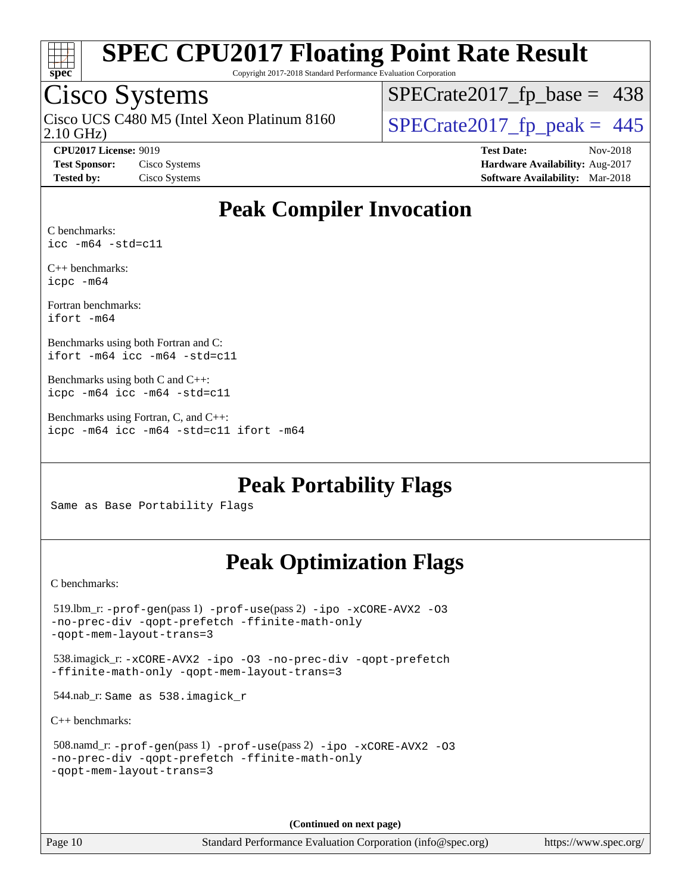

Copyright 2017-2018 Standard Performance Evaluation Corporation

### Cisco Systems

2.10 GHz) Cisco UCS C480 M5 (Intel Xeon Platinum 8160  $\big|$  [SPECrate2017\\_fp\\_peak =](http://www.spec.org/auto/cpu2017/Docs/result-fields.html#SPECrate2017fppeak) 445

 $SPECTate2017_fp\_base = 438$ 

**[CPU2017 License:](http://www.spec.org/auto/cpu2017/Docs/result-fields.html#CPU2017License)** 9019 **[Test Date:](http://www.spec.org/auto/cpu2017/Docs/result-fields.html#TestDate)** Nov-2018 **[Test Sponsor:](http://www.spec.org/auto/cpu2017/Docs/result-fields.html#TestSponsor)** Cisco Systems **[Hardware Availability:](http://www.spec.org/auto/cpu2017/Docs/result-fields.html#HardwareAvailability)** Aug-2017 **[Tested by:](http://www.spec.org/auto/cpu2017/Docs/result-fields.html#Testedby)** Cisco Systems **[Software Availability:](http://www.spec.org/auto/cpu2017/Docs/result-fields.html#SoftwareAvailability)** Mar-2018

### **[Peak Compiler Invocation](http://www.spec.org/auto/cpu2017/Docs/result-fields.html#PeakCompilerInvocation)**

[C benchmarks:](http://www.spec.org/auto/cpu2017/Docs/result-fields.html#Cbenchmarks) [icc -m64 -std=c11](http://www.spec.org/cpu2017/results/res2018q4/cpu2017-20181113-09724.flags.html#user_CCpeak_intel_icc_64bit_c11_33ee0cdaae7deeeab2a9725423ba97205ce30f63b9926c2519791662299b76a0318f32ddfffdc46587804de3178b4f9328c46fa7c2b0cd779d7a61945c91cd35)

[C++ benchmarks:](http://www.spec.org/auto/cpu2017/Docs/result-fields.html#CXXbenchmarks) [icpc -m64](http://www.spec.org/cpu2017/results/res2018q4/cpu2017-20181113-09724.flags.html#user_CXXpeak_intel_icpc_64bit_4ecb2543ae3f1412ef961e0650ca070fec7b7afdcd6ed48761b84423119d1bf6bdf5cad15b44d48e7256388bc77273b966e5eb805aefd121eb22e9299b2ec9d9)

[Fortran benchmarks](http://www.spec.org/auto/cpu2017/Docs/result-fields.html#Fortranbenchmarks): [ifort -m64](http://www.spec.org/cpu2017/results/res2018q4/cpu2017-20181113-09724.flags.html#user_FCpeak_intel_ifort_64bit_24f2bb282fbaeffd6157abe4f878425411749daecae9a33200eee2bee2fe76f3b89351d69a8130dd5949958ce389cf37ff59a95e7a40d588e8d3a57e0c3fd751)

[Benchmarks using both Fortran and C:](http://www.spec.org/auto/cpu2017/Docs/result-fields.html#BenchmarksusingbothFortranandC) [ifort -m64](http://www.spec.org/cpu2017/results/res2018q4/cpu2017-20181113-09724.flags.html#user_CC_FCpeak_intel_ifort_64bit_24f2bb282fbaeffd6157abe4f878425411749daecae9a33200eee2bee2fe76f3b89351d69a8130dd5949958ce389cf37ff59a95e7a40d588e8d3a57e0c3fd751) [icc -m64 -std=c11](http://www.spec.org/cpu2017/results/res2018q4/cpu2017-20181113-09724.flags.html#user_CC_FCpeak_intel_icc_64bit_c11_33ee0cdaae7deeeab2a9725423ba97205ce30f63b9926c2519791662299b76a0318f32ddfffdc46587804de3178b4f9328c46fa7c2b0cd779d7a61945c91cd35)

[Benchmarks using both C and C++](http://www.spec.org/auto/cpu2017/Docs/result-fields.html#BenchmarksusingbothCandCXX): [icpc -m64](http://www.spec.org/cpu2017/results/res2018q4/cpu2017-20181113-09724.flags.html#user_CC_CXXpeak_intel_icpc_64bit_4ecb2543ae3f1412ef961e0650ca070fec7b7afdcd6ed48761b84423119d1bf6bdf5cad15b44d48e7256388bc77273b966e5eb805aefd121eb22e9299b2ec9d9) [icc -m64 -std=c11](http://www.spec.org/cpu2017/results/res2018q4/cpu2017-20181113-09724.flags.html#user_CC_CXXpeak_intel_icc_64bit_c11_33ee0cdaae7deeeab2a9725423ba97205ce30f63b9926c2519791662299b76a0318f32ddfffdc46587804de3178b4f9328c46fa7c2b0cd779d7a61945c91cd35)

[Benchmarks using Fortran, C, and C++:](http://www.spec.org/auto/cpu2017/Docs/result-fields.html#BenchmarksusingFortranCandCXX) [icpc -m64](http://www.spec.org/cpu2017/results/res2018q4/cpu2017-20181113-09724.flags.html#user_CC_CXX_FCpeak_intel_icpc_64bit_4ecb2543ae3f1412ef961e0650ca070fec7b7afdcd6ed48761b84423119d1bf6bdf5cad15b44d48e7256388bc77273b966e5eb805aefd121eb22e9299b2ec9d9) [icc -m64 -std=c11](http://www.spec.org/cpu2017/results/res2018q4/cpu2017-20181113-09724.flags.html#user_CC_CXX_FCpeak_intel_icc_64bit_c11_33ee0cdaae7deeeab2a9725423ba97205ce30f63b9926c2519791662299b76a0318f32ddfffdc46587804de3178b4f9328c46fa7c2b0cd779d7a61945c91cd35) [ifort -m64](http://www.spec.org/cpu2017/results/res2018q4/cpu2017-20181113-09724.flags.html#user_CC_CXX_FCpeak_intel_ifort_64bit_24f2bb282fbaeffd6157abe4f878425411749daecae9a33200eee2bee2fe76f3b89351d69a8130dd5949958ce389cf37ff59a95e7a40d588e8d3a57e0c3fd751)

**[Peak Portability Flags](http://www.spec.org/auto/cpu2017/Docs/result-fields.html#PeakPortabilityFlags)**

Same as Base Portability Flags

### **[Peak Optimization Flags](http://www.spec.org/auto/cpu2017/Docs/result-fields.html#PeakOptimizationFlags)**

[C benchmarks](http://www.spec.org/auto/cpu2017/Docs/result-fields.html#Cbenchmarks):

```
 519.lbm_r: -prof-gen(pass 1) -prof-use(pass 2) -ipo -xCORE-AVX2 -O3
-no-prec-div -qopt-prefetch -ffinite-math-only
-qopt-mem-layout-trans=3
 538.imagick_r: -xCORE-AVX2 -ipo -O3 -no-prec-div -qopt-prefetch
-ffinite-math-only -qopt-mem-layout-trans=3
 544.nab_r: Same as 538.imagick_r
C++ benchmarks: 
 508.namd_r: -prof-gen(pass 1) -prof-use(pass 2) -ipo -xCORE-AVX2 -O3
-no-prec-div -qopt-prefetch -ffinite-math-only
-qopt-mem-layout-trans=3
```
**(Continued on next page)**

Page 10 Standard Performance Evaluation Corporation [\(info@spec.org\)](mailto:info@spec.org) <https://www.spec.org/>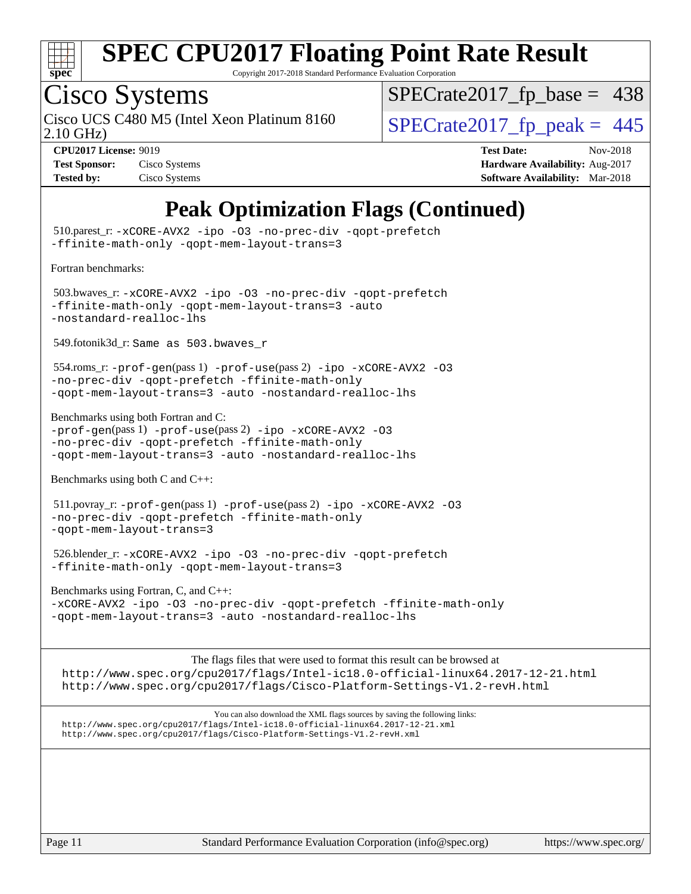

Copyright 2017-2018 Standard Performance Evaluation Corporation

### Cisco Systems

2.10 GHz) Cisco UCS C480 M5 (Intel Xeon Platinum 8160  $\big|$  [SPECrate2017\\_fp\\_peak =](http://www.spec.org/auto/cpu2017/Docs/result-fields.html#SPECrate2017fppeak) 445

[SPECrate2017\\_fp\\_base =](http://www.spec.org/auto/cpu2017/Docs/result-fields.html#SPECrate2017fpbase) 438

| <b>Test Sponsor:</b> | Cisco Systems |
|----------------------|---------------|
| <b>Tested by:</b>    | Cisco Systems |

**[CPU2017 License:](http://www.spec.org/auto/cpu2017/Docs/result-fields.html#CPU2017License)** 9019 **[Test Date:](http://www.spec.org/auto/cpu2017/Docs/result-fields.html#TestDate)** Nov-2018 **[Hardware Availability:](http://www.spec.org/auto/cpu2017/Docs/result-fields.html#HardwareAvailability)** Aug-2017 **[Software Availability:](http://www.spec.org/auto/cpu2017/Docs/result-fields.html#SoftwareAvailability)** Mar-2018

### **[Peak Optimization Flags \(Continued\)](http://www.spec.org/auto/cpu2017/Docs/result-fields.html#PeakOptimizationFlags)**

 510.parest\_r: [-xCORE-AVX2](http://www.spec.org/cpu2017/results/res2018q4/cpu2017-20181113-09724.flags.html#user_peakCXXOPTIMIZE510_parest_r_f-xCORE-AVX2) [-ipo](http://www.spec.org/cpu2017/results/res2018q4/cpu2017-20181113-09724.flags.html#user_peakCXXOPTIMIZE510_parest_r_f-ipo) [-O3](http://www.spec.org/cpu2017/results/res2018q4/cpu2017-20181113-09724.flags.html#user_peakCXXOPTIMIZE510_parest_r_f-O3) [-no-prec-div](http://www.spec.org/cpu2017/results/res2018q4/cpu2017-20181113-09724.flags.html#user_peakCXXOPTIMIZE510_parest_r_f-no-prec-div) [-qopt-prefetch](http://www.spec.org/cpu2017/results/res2018q4/cpu2017-20181113-09724.flags.html#user_peakCXXOPTIMIZE510_parest_r_f-qopt-prefetch) [-ffinite-math-only](http://www.spec.org/cpu2017/results/res2018q4/cpu2017-20181113-09724.flags.html#user_peakCXXOPTIMIZE510_parest_r_f_finite_math_only_cb91587bd2077682c4b38af759c288ed7c732db004271a9512da14a4f8007909a5f1427ecbf1a0fb78ff2a814402c6114ac565ca162485bbcae155b5e4258871) [-qopt-mem-layout-trans=3](http://www.spec.org/cpu2017/results/res2018q4/cpu2017-20181113-09724.flags.html#user_peakCXXOPTIMIZE510_parest_r_f-qopt-mem-layout-trans_de80db37974c74b1f0e20d883f0b675c88c3b01e9d123adea9b28688d64333345fb62bc4a798493513fdb68f60282f9a726aa07f478b2f7113531aecce732043) [Fortran benchmarks](http://www.spec.org/auto/cpu2017/Docs/result-fields.html#Fortranbenchmarks): 503.bwaves\_r: [-xCORE-AVX2](http://www.spec.org/cpu2017/results/res2018q4/cpu2017-20181113-09724.flags.html#user_peakFOPTIMIZE503_bwaves_r_f-xCORE-AVX2) [-ipo](http://www.spec.org/cpu2017/results/res2018q4/cpu2017-20181113-09724.flags.html#user_peakFOPTIMIZE503_bwaves_r_f-ipo) [-O3](http://www.spec.org/cpu2017/results/res2018q4/cpu2017-20181113-09724.flags.html#user_peakFOPTIMIZE503_bwaves_r_f-O3) [-no-prec-div](http://www.spec.org/cpu2017/results/res2018q4/cpu2017-20181113-09724.flags.html#user_peakFOPTIMIZE503_bwaves_r_f-no-prec-div) [-qopt-prefetch](http://www.spec.org/cpu2017/results/res2018q4/cpu2017-20181113-09724.flags.html#user_peakFOPTIMIZE503_bwaves_r_f-qopt-prefetch) [-ffinite-math-only](http://www.spec.org/cpu2017/results/res2018q4/cpu2017-20181113-09724.flags.html#user_peakFOPTIMIZE503_bwaves_r_f_finite_math_only_cb91587bd2077682c4b38af759c288ed7c732db004271a9512da14a4f8007909a5f1427ecbf1a0fb78ff2a814402c6114ac565ca162485bbcae155b5e4258871) [-qopt-mem-layout-trans=3](http://www.spec.org/cpu2017/results/res2018q4/cpu2017-20181113-09724.flags.html#user_peakFOPTIMIZE503_bwaves_r_f-qopt-mem-layout-trans_de80db37974c74b1f0e20d883f0b675c88c3b01e9d123adea9b28688d64333345fb62bc4a798493513fdb68f60282f9a726aa07f478b2f7113531aecce732043) [-auto](http://www.spec.org/cpu2017/results/res2018q4/cpu2017-20181113-09724.flags.html#user_peakFOPTIMIZE503_bwaves_r_f-auto) [-nostandard-realloc-lhs](http://www.spec.org/cpu2017/results/res2018q4/cpu2017-20181113-09724.flags.html#user_peakEXTRA_FOPTIMIZE503_bwaves_r_f_2003_std_realloc_82b4557e90729c0f113870c07e44d33d6f5a304b4f63d4c15d2d0f1fab99f5daaed73bdb9275d9ae411527f28b936061aa8b9c8f2d63842963b95c9dd6426b8a) 549.fotonik3d\_r: Same as 503.bwaves\_r 554.roms\_r: [-prof-gen](http://www.spec.org/cpu2017/results/res2018q4/cpu2017-20181113-09724.flags.html#user_peakPASS1_FFLAGSPASS1_LDFLAGS554_roms_r_prof_gen_5aa4926d6013ddb2a31985c654b3eb18169fc0c6952a63635c234f711e6e63dd76e94ad52365559451ec499a2cdb89e4dc58ba4c67ef54ca681ffbe1461d6b36)(pass 1) [-prof-use](http://www.spec.org/cpu2017/results/res2018q4/cpu2017-20181113-09724.flags.html#user_peakPASS2_FFLAGSPASS2_LDFLAGS554_roms_r_prof_use_1a21ceae95f36a2b53c25747139a6c16ca95bd9def2a207b4f0849963b97e94f5260e30a0c64f4bb623698870e679ca08317ef8150905d41bd88c6f78df73f19)(pass 2) [-ipo](http://www.spec.org/cpu2017/results/res2018q4/cpu2017-20181113-09724.flags.html#user_peakPASS1_FOPTIMIZEPASS2_FOPTIMIZE554_roms_r_f-ipo) [-xCORE-AVX2](http://www.spec.org/cpu2017/results/res2018q4/cpu2017-20181113-09724.flags.html#user_peakPASS2_FOPTIMIZE554_roms_r_f-xCORE-AVX2) [-O3](http://www.spec.org/cpu2017/results/res2018q4/cpu2017-20181113-09724.flags.html#user_peakPASS1_FOPTIMIZEPASS2_FOPTIMIZE554_roms_r_f-O3) [-no-prec-div](http://www.spec.org/cpu2017/results/res2018q4/cpu2017-20181113-09724.flags.html#user_peakPASS1_FOPTIMIZEPASS2_FOPTIMIZE554_roms_r_f-no-prec-div) [-qopt-prefetch](http://www.spec.org/cpu2017/results/res2018q4/cpu2017-20181113-09724.flags.html#user_peakPASS1_FOPTIMIZEPASS2_FOPTIMIZE554_roms_r_f-qopt-prefetch) [-ffinite-math-only](http://www.spec.org/cpu2017/results/res2018q4/cpu2017-20181113-09724.flags.html#user_peakPASS1_FOPTIMIZEPASS2_FOPTIMIZE554_roms_r_f_finite_math_only_cb91587bd2077682c4b38af759c288ed7c732db004271a9512da14a4f8007909a5f1427ecbf1a0fb78ff2a814402c6114ac565ca162485bbcae155b5e4258871) [-qopt-mem-layout-trans=3](http://www.spec.org/cpu2017/results/res2018q4/cpu2017-20181113-09724.flags.html#user_peakPASS1_FOPTIMIZEPASS2_FOPTIMIZE554_roms_r_f-qopt-mem-layout-trans_de80db37974c74b1f0e20d883f0b675c88c3b01e9d123adea9b28688d64333345fb62bc4a798493513fdb68f60282f9a726aa07f478b2f7113531aecce732043) [-auto](http://www.spec.org/cpu2017/results/res2018q4/cpu2017-20181113-09724.flags.html#user_peakPASS2_FOPTIMIZE554_roms_r_f-auto) [-nostandard-realloc-lhs](http://www.spec.org/cpu2017/results/res2018q4/cpu2017-20181113-09724.flags.html#user_peakEXTRA_FOPTIMIZE554_roms_r_f_2003_std_realloc_82b4557e90729c0f113870c07e44d33d6f5a304b4f63d4c15d2d0f1fab99f5daaed73bdb9275d9ae411527f28b936061aa8b9c8f2d63842963b95c9dd6426b8a) [Benchmarks using both Fortran and C](http://www.spec.org/auto/cpu2017/Docs/result-fields.html#BenchmarksusingbothFortranandC): [-prof-gen](http://www.spec.org/cpu2017/results/res2018q4/cpu2017-20181113-09724.flags.html#user_CC_FCpeak_prof_gen_5aa4926d6013ddb2a31985c654b3eb18169fc0c6952a63635c234f711e6e63dd76e94ad52365559451ec499a2cdb89e4dc58ba4c67ef54ca681ffbe1461d6b36)(pass 1) [-prof-use](http://www.spec.org/cpu2017/results/res2018q4/cpu2017-20181113-09724.flags.html#user_CC_FCpeak_prof_use_1a21ceae95f36a2b53c25747139a6c16ca95bd9def2a207b4f0849963b97e94f5260e30a0c64f4bb623698870e679ca08317ef8150905d41bd88c6f78df73f19)(pass 2) [-ipo](http://www.spec.org/cpu2017/results/res2018q4/cpu2017-20181113-09724.flags.html#user_CC_FCpeak_f-ipo) [-xCORE-AVX2](http://www.spec.org/cpu2017/results/res2018q4/cpu2017-20181113-09724.flags.html#user_CC_FCpeak_f-xCORE-AVX2) [-O3](http://www.spec.org/cpu2017/results/res2018q4/cpu2017-20181113-09724.flags.html#user_CC_FCpeak_f-O3) [-no-prec-div](http://www.spec.org/cpu2017/results/res2018q4/cpu2017-20181113-09724.flags.html#user_CC_FCpeak_f-no-prec-div) [-qopt-prefetch](http://www.spec.org/cpu2017/results/res2018q4/cpu2017-20181113-09724.flags.html#user_CC_FCpeak_f-qopt-prefetch) [-ffinite-math-only](http://www.spec.org/cpu2017/results/res2018q4/cpu2017-20181113-09724.flags.html#user_CC_FCpeak_f_finite_math_only_cb91587bd2077682c4b38af759c288ed7c732db004271a9512da14a4f8007909a5f1427ecbf1a0fb78ff2a814402c6114ac565ca162485bbcae155b5e4258871) [-qopt-mem-layout-trans=3](http://www.spec.org/cpu2017/results/res2018q4/cpu2017-20181113-09724.flags.html#user_CC_FCpeak_f-qopt-mem-layout-trans_de80db37974c74b1f0e20d883f0b675c88c3b01e9d123adea9b28688d64333345fb62bc4a798493513fdb68f60282f9a726aa07f478b2f7113531aecce732043) [-auto](http://www.spec.org/cpu2017/results/res2018q4/cpu2017-20181113-09724.flags.html#user_CC_FCpeak_f-auto) [-nostandard-realloc-lhs](http://www.spec.org/cpu2017/results/res2018q4/cpu2017-20181113-09724.flags.html#user_CC_FCpeak_f_2003_std_realloc_82b4557e90729c0f113870c07e44d33d6f5a304b4f63d4c15d2d0f1fab99f5daaed73bdb9275d9ae411527f28b936061aa8b9c8f2d63842963b95c9dd6426b8a) [Benchmarks using both C and C++](http://www.spec.org/auto/cpu2017/Docs/result-fields.html#BenchmarksusingbothCandCXX): 511.povray\_r: [-prof-gen](http://www.spec.org/cpu2017/results/res2018q4/cpu2017-20181113-09724.flags.html#user_peakPASS1_CFLAGSPASS1_CXXFLAGSPASS1_LDFLAGS511_povray_r_prof_gen_5aa4926d6013ddb2a31985c654b3eb18169fc0c6952a63635c234f711e6e63dd76e94ad52365559451ec499a2cdb89e4dc58ba4c67ef54ca681ffbe1461d6b36)(pass 1) [-prof-use](http://www.spec.org/cpu2017/results/res2018q4/cpu2017-20181113-09724.flags.html#user_peakPASS2_CFLAGSPASS2_CXXFLAGSPASS2_LDFLAGS511_povray_r_prof_use_1a21ceae95f36a2b53c25747139a6c16ca95bd9def2a207b4f0849963b97e94f5260e30a0c64f4bb623698870e679ca08317ef8150905d41bd88c6f78df73f19)(pass 2) [-ipo](http://www.spec.org/cpu2017/results/res2018q4/cpu2017-20181113-09724.flags.html#user_peakPASS1_COPTIMIZEPASS1_CXXOPTIMIZEPASS2_COPTIMIZEPASS2_CXXOPTIMIZE511_povray_r_f-ipo) [-xCORE-AVX2](http://www.spec.org/cpu2017/results/res2018q4/cpu2017-20181113-09724.flags.html#user_peakPASS2_COPTIMIZEPASS2_CXXOPTIMIZE511_povray_r_f-xCORE-AVX2) [-O3](http://www.spec.org/cpu2017/results/res2018q4/cpu2017-20181113-09724.flags.html#user_peakPASS1_COPTIMIZEPASS1_CXXOPTIMIZEPASS2_COPTIMIZEPASS2_CXXOPTIMIZE511_povray_r_f-O3) [-no-prec-div](http://www.spec.org/cpu2017/results/res2018q4/cpu2017-20181113-09724.flags.html#user_peakPASS1_COPTIMIZEPASS1_CXXOPTIMIZEPASS2_COPTIMIZEPASS2_CXXOPTIMIZE511_povray_r_f-no-prec-div) [-qopt-prefetch](http://www.spec.org/cpu2017/results/res2018q4/cpu2017-20181113-09724.flags.html#user_peakPASS1_COPTIMIZEPASS1_CXXOPTIMIZEPASS2_COPTIMIZEPASS2_CXXOPTIMIZE511_povray_r_f-qopt-prefetch) [-ffinite-math-only](http://www.spec.org/cpu2017/results/res2018q4/cpu2017-20181113-09724.flags.html#user_peakPASS1_COPTIMIZEPASS1_CXXOPTIMIZEPASS2_COPTIMIZEPASS2_CXXOPTIMIZE511_povray_r_f_finite_math_only_cb91587bd2077682c4b38af759c288ed7c732db004271a9512da14a4f8007909a5f1427ecbf1a0fb78ff2a814402c6114ac565ca162485bbcae155b5e4258871) [-qopt-mem-layout-trans=3](http://www.spec.org/cpu2017/results/res2018q4/cpu2017-20181113-09724.flags.html#user_peakPASS1_COPTIMIZEPASS1_CXXOPTIMIZEPASS2_COPTIMIZEPASS2_CXXOPTIMIZE511_povray_r_f-qopt-mem-layout-trans_de80db37974c74b1f0e20d883f0b675c88c3b01e9d123adea9b28688d64333345fb62bc4a798493513fdb68f60282f9a726aa07f478b2f7113531aecce732043) 526.blender\_r: [-xCORE-AVX2](http://www.spec.org/cpu2017/results/res2018q4/cpu2017-20181113-09724.flags.html#user_peakCOPTIMIZECXXOPTIMIZE526_blender_r_f-xCORE-AVX2) [-ipo](http://www.spec.org/cpu2017/results/res2018q4/cpu2017-20181113-09724.flags.html#user_peakCOPTIMIZECXXOPTIMIZE526_blender_r_f-ipo) [-O3](http://www.spec.org/cpu2017/results/res2018q4/cpu2017-20181113-09724.flags.html#user_peakCOPTIMIZECXXOPTIMIZE526_blender_r_f-O3) [-no-prec-div](http://www.spec.org/cpu2017/results/res2018q4/cpu2017-20181113-09724.flags.html#user_peakCOPTIMIZECXXOPTIMIZE526_blender_r_f-no-prec-div) [-qopt-prefetch](http://www.spec.org/cpu2017/results/res2018q4/cpu2017-20181113-09724.flags.html#user_peakCOPTIMIZECXXOPTIMIZE526_blender_r_f-qopt-prefetch) [-ffinite-math-only](http://www.spec.org/cpu2017/results/res2018q4/cpu2017-20181113-09724.flags.html#user_peakCOPTIMIZECXXOPTIMIZE526_blender_r_f_finite_math_only_cb91587bd2077682c4b38af759c288ed7c732db004271a9512da14a4f8007909a5f1427ecbf1a0fb78ff2a814402c6114ac565ca162485bbcae155b5e4258871) [-qopt-mem-layout-trans=3](http://www.spec.org/cpu2017/results/res2018q4/cpu2017-20181113-09724.flags.html#user_peakCOPTIMIZECXXOPTIMIZE526_blender_r_f-qopt-mem-layout-trans_de80db37974c74b1f0e20d883f0b675c88c3b01e9d123adea9b28688d64333345fb62bc4a798493513fdb68f60282f9a726aa07f478b2f7113531aecce732043) [Benchmarks using Fortran, C, and C++:](http://www.spec.org/auto/cpu2017/Docs/result-fields.html#BenchmarksusingFortranCandCXX) [-xCORE-AVX2](http://www.spec.org/cpu2017/results/res2018q4/cpu2017-20181113-09724.flags.html#user_CC_CXX_FCpeak_f-xCORE-AVX2) [-ipo](http://www.spec.org/cpu2017/results/res2018q4/cpu2017-20181113-09724.flags.html#user_CC_CXX_FCpeak_f-ipo) [-O3](http://www.spec.org/cpu2017/results/res2018q4/cpu2017-20181113-09724.flags.html#user_CC_CXX_FCpeak_f-O3) [-no-prec-div](http://www.spec.org/cpu2017/results/res2018q4/cpu2017-20181113-09724.flags.html#user_CC_CXX_FCpeak_f-no-prec-div) [-qopt-prefetch](http://www.spec.org/cpu2017/results/res2018q4/cpu2017-20181113-09724.flags.html#user_CC_CXX_FCpeak_f-qopt-prefetch) [-ffinite-math-only](http://www.spec.org/cpu2017/results/res2018q4/cpu2017-20181113-09724.flags.html#user_CC_CXX_FCpeak_f_finite_math_only_cb91587bd2077682c4b38af759c288ed7c732db004271a9512da14a4f8007909a5f1427ecbf1a0fb78ff2a814402c6114ac565ca162485bbcae155b5e4258871) [-qopt-mem-layout-trans=3](http://www.spec.org/cpu2017/results/res2018q4/cpu2017-20181113-09724.flags.html#user_CC_CXX_FCpeak_f-qopt-mem-layout-trans_de80db37974c74b1f0e20d883f0b675c88c3b01e9d123adea9b28688d64333345fb62bc4a798493513fdb68f60282f9a726aa07f478b2f7113531aecce732043) [-auto](http://www.spec.org/cpu2017/results/res2018q4/cpu2017-20181113-09724.flags.html#user_CC_CXX_FCpeak_f-auto) [-nostandard-realloc-lhs](http://www.spec.org/cpu2017/results/res2018q4/cpu2017-20181113-09724.flags.html#user_CC_CXX_FCpeak_f_2003_std_realloc_82b4557e90729c0f113870c07e44d33d6f5a304b4f63d4c15d2d0f1fab99f5daaed73bdb9275d9ae411527f28b936061aa8b9c8f2d63842963b95c9dd6426b8a) The flags files that were used to format this result can be browsed at <http://www.spec.org/cpu2017/flags/Intel-ic18.0-official-linux64.2017-12-21.html> <http://www.spec.org/cpu2017/flags/Cisco-Platform-Settings-V1.2-revH.html> You can also download the XML flags sources by saving the following links:

<http://www.spec.org/cpu2017/flags/Intel-ic18.0-official-linux64.2017-12-21.xml> <http://www.spec.org/cpu2017/flags/Cisco-Platform-Settings-V1.2-revH.xml>